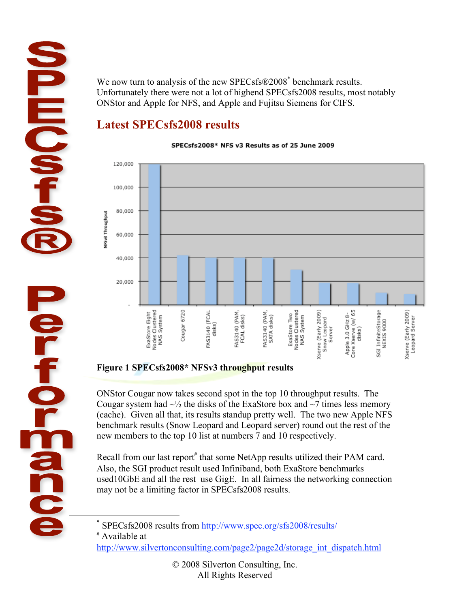We now turn to analysis of the new SPECsfs®2008<sup>\*</sup> benchmark results. Unfortunately there were not a lot of highend SPECsfs2008 results, most notably ONStor and Apple for NFS, and Apple and Fujitsu Siemens for CIFS.

## **Latest SPECsfs2008 results**

**HIQ01** 

ier<br>fo

**POSS** 

#### SPECsfs2008\* NFS v3 Results as of 25 June 2009



### **Figure 1 SPECsfs2008\* NFSv3 throughput results**

ONStor Cougar now takes second spot in the top 10 throughput results. The Cougar system had  $\sim$ <sup>1/2</sup> the disks of the ExaStore box and  $\sim$ 7 times less memory (cache). Given all that, its results standup pretty well. The two new Apple NFS benchmark results (Snow Leopard and Leopard server) round out the rest of the new members to the top 10 list at numbers 7 and 10 respectively.

Recall from our last report<sup>#</sup> that some NetApp results utilized their PAM card. Also, the SGI product result used Infiniband, both ExaStore benchmarks used10GbE and all the rest use GigE. In all fairness the networking connection may not be a limiting factor in SPECsfs2008 results.

http://www.silvertonconsulting.com/page2/page2d/storage\_int\_dispatch.html

 $\overline{\phantom{a}}$ SPECsfs2008 results from http://www.spec.org/sfs2008/results/

<sup>#</sup> Available at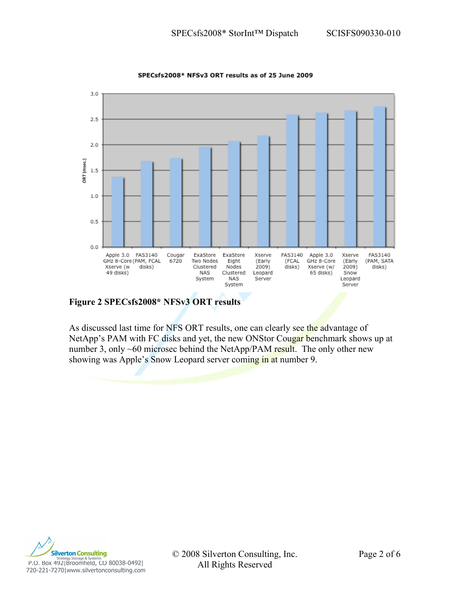

SPECsfs2008\* NFSv3 ORT results as of 25 June 2009

**Figure 2 SPECsfs2008\* NFSv3 ORT results**

As discussed last time for NFS ORT results, one can clearly see the advantage of NetApp's PAM with FC disks and yet, the new ONStor Cougar benchmark shows up at number 3, only  $~60$  microsec behind the NetApp/PAM result. The only other new showing was Apple's Snow Leopard server coming in at number 9.



© 2008 Silverton Consulting, Inc. Page 2 of 6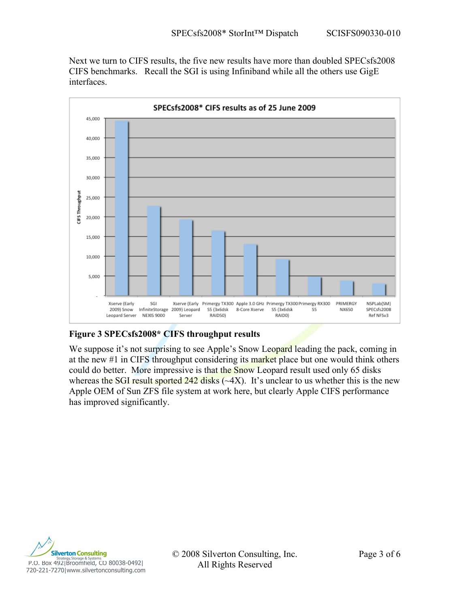Next we turn to CIFS results, the five new results have more than doubled SPECsfs2008 CIFS benchmarks. Recall the SGI is using Infiniband while all the others use GigE interfaces.



### **Figure 3 SPECsfs2008\* CIFS throughput results**

We suppose it's not surprising to see Apple's Snow Leopard leading the pack, coming in at the new #1 in CIFS throughput considering its market place but one would think others could do better. More impressive is that the Snow Leopard result used only 65 disks whereas the SGI result sported 242 disks  $(\sim 4X)$ . It's unclear to us whether this is the new Apple OEM of Sun ZFS file system at work here, but clearly Apple CIFS performance has improved significantly.



© 2008 Silverton Consulting, Inc. Page 3 of 6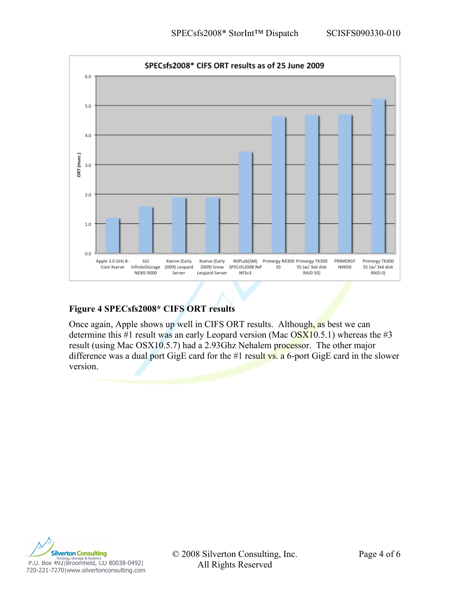

### **Figure 4 SPECsfs2008\* CIFS ORT results**

Once again, Apple shows up well in CIFS ORT results. Although, as best we can determine this #1 result was an early Leopard version (Mac  $\overline{OSX10.5.1}$ ) whereas the #3 result (using Mac OSX10.5.7) had a 2.93Ghz Nehalem processor. The other major difference was a dual port GigE card for the #1 result  $\overline{vs}$ . a 6-port GigE card in the slower version.



© 2008 Silverton Consulting, Inc. Page 4 of 6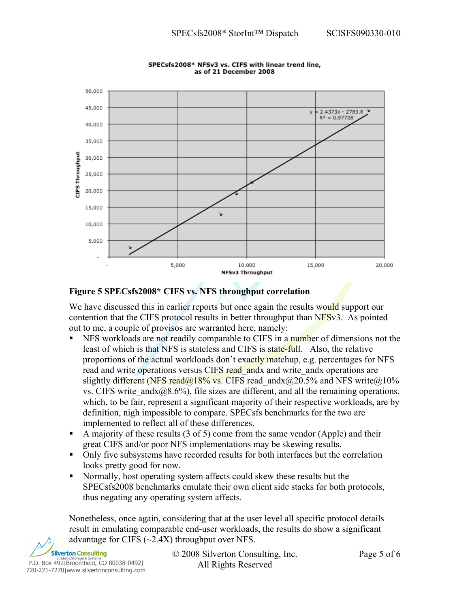

#### SPECsfs2008\* NFSv3 vs. CIFS with linear trend line, as of 21 December 2008

#### **Figure 5 SPECsfs2008\* CIFS vs. NFS throughput correlation**

We have discussed this in earlier reports but once again the results would support our contention that the CIFS protocol results in better throughput than NFSv3. As pointed out to me, a couple of provisos are warranted here, namely:

- NFS workloads are not readily comparable to CIFS in a number of dimensions not the least of which is that NFS is stateless and CIFS is state-full. Also, the relative proportions of the actual workloads don't exactly matchup, e.g. percentages for NFS read and write operations versus CIFS read\_andx and write\_andx operations are slightly different (NFS read@18% vs. CIFS read and x @ 20.5% and NFS write @10% vs. CIFS write and  $x(0.8.6\%)$ , file sizes are different, and all the remaining operations, which, to be fair, represent a significant majority of their respective workloads, are by definition, nigh impossible to compare. SPECsfs benchmarks for the two are implemented to reflect all of these differences.
- A majority of these results (3 of 5) come from the same vendor (Apple) and their great CIFS and/or poor NFS implementations may be skewing results.
- Only five subsystems have recorded results for both interfaces but the correlation looks pretty good for now.
- Normally, host operating system affects could skew these results but the SPECsfs2008 benchmarks emulate their own client side stacks for both protocols, thus negating any operating system affects.

Nonetheless, once again, considering that at the user level all specific protocol details result in emulating comparable end-user workloads, the results do show a significant advantage for CIFS (~2.4X) throughput over NFS.



© 2008 Silverton Consulting, Inc. Page 5 of 6